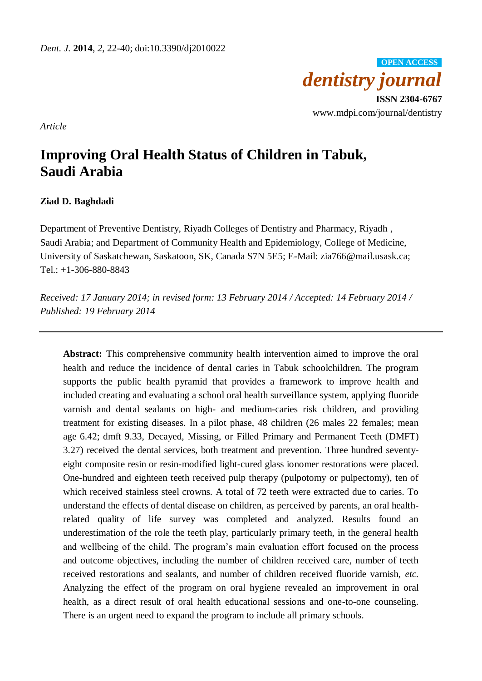

*Article*

# **Improving Oral Health Status of Children in Tabuk, Saudi Arabia**

# **Ziad D. Baghdadi**

Department of Preventive Dentistry, Riyadh Colleges of Dentistry and Pharmacy, Riyadh , Saudi Arabia; and Department of Community Health and Epidemiology, College of Medicine, University of Saskatchewan, Saskatoon, SK, Canada S7N 5E5; E-Mail: zia766@mail.usask.ca; Tel.: +1-306-880-8843

*Received: 17 January 2014; in revised form: 13 February 2014 / Accepted: 14 February 2014 / Published: 19 February 2014*

**Abstract:** This comprehensive community health intervention aimed to improve the oral health and reduce the incidence of dental caries in Tabuk schoolchildren. The program supports the public health pyramid that provides a framework to improve health and included creating and evaluating a school oral health surveillance system, applying fluoride varnish and dental sealants on high- and medium-caries risk children, and providing treatment for existing diseases. In a pilot phase, 48 children (26 males 22 females; mean age 6.42; dmft 9.33, Decayed, Missing, or Filled Primary and Permanent Teeth (DMFT) 3.27) received the dental services, both treatment and prevention. Three hundred seventyeight composite resin or resin-modified light-cured glass ionomer restorations were placed. One-hundred and eighteen teeth received pulp therapy (pulpotomy or pulpectomy), ten of which received stainless steel crowns. A total of 72 teeth were extracted due to caries. To understand the effects of dental disease on children, as perceived by parents, an oral healthrelated quality of life survey was completed and analyzed. Results found an underestimation of the role the teeth play, particularly primary teeth, in the general health and wellbeing of the child. The program's main evaluation effort focused on the process and outcome objectives, including the number of children received care, number of teeth received restorations and sealants, and number of children received fluoride varnish, *etc.* Analyzing the effect of the program on oral hygiene revealed an improvement in oral health, as a direct result of oral health educational sessions and one-to-one counseling. There is an urgent need to expand the program to include all primary schools.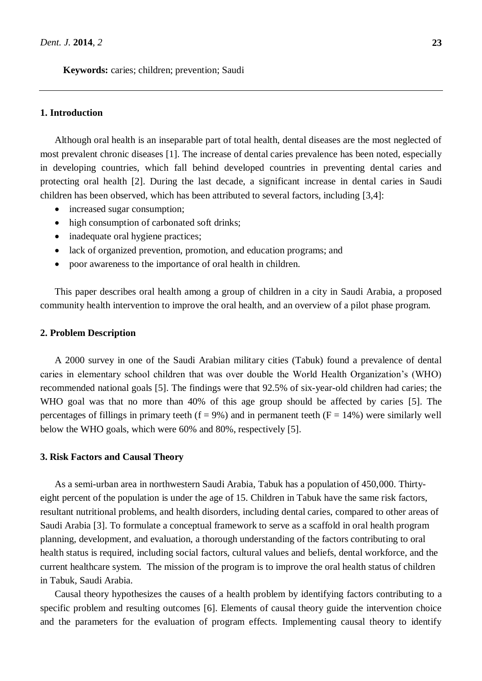**Keywords:** caries; children; prevention; Saudi

#### **1. Introduction**

Although oral health is an inseparable part of total health, dental diseases are the most neglected of most prevalent chronic diseases [1]. The increase of dental caries prevalence has been noted, especially in developing countries, which fall behind developed countries in preventing dental caries and protecting oral health [2]. During the last decade, a significant increase in dental caries in Saudi children has been observed, which has been attributed to several factors, including [3,4]:

- increased sugar consumption;
- high consumption of carbonated soft drinks;
- inadequate oral hygiene practices;
- lack of organized prevention, promotion, and education programs; and
- poor awareness to the importance of oral health in children.

This paper describes oral health among a group of children in a city in Saudi Arabia, a proposed community health intervention to improve the oral health, and an overview of a pilot phase program.

#### **2. Problem Description**

A 2000 survey in one of the Saudi Arabian military cities (Tabuk) found a prevalence of dental caries in elementary school children that was over double the World Health Organization's (WHO) recommended national goals [5]. The findings were that 92.5% of six-year-old children had caries; the WHO goal was that no more than 40% of this age group should be affected by caries [5]. The percentages of fillings in primary teeth ( $f = 9\%$ ) and in permanent teeth ( $F = 14\%$ ) were similarly well below the WHO goals, which were 60% and 80%, respectively [5].

#### **3. Risk Factors and Causal Theory**

As a semi-urban area in northwestern Saudi Arabia, Tabuk has a population of 450,000. Thirtyeight percent of the population is under the age of 15. Children in Tabuk have the same risk factors, resultant nutritional problems, and health disorders, including dental caries, compared to other areas of Saudi Arabia [3]. To formulate a conceptual framework to serve as a scaffold in oral health program planning, development, and evaluation, a thorough understanding of the factors contributing to oral health status is required, including social factors, cultural values and beliefs, dental workforce, and the current healthcare system. The mission of the program is to improve the oral health status of children in Tabuk, Saudi Arabia.

Causal theory hypothesizes the causes of a health problem by identifying factors contributing to a specific problem and resulting outcomes [6]. Elements of causal theory guide the intervention choice and the parameters for the evaluation of program effects. Implementing causal theory to identify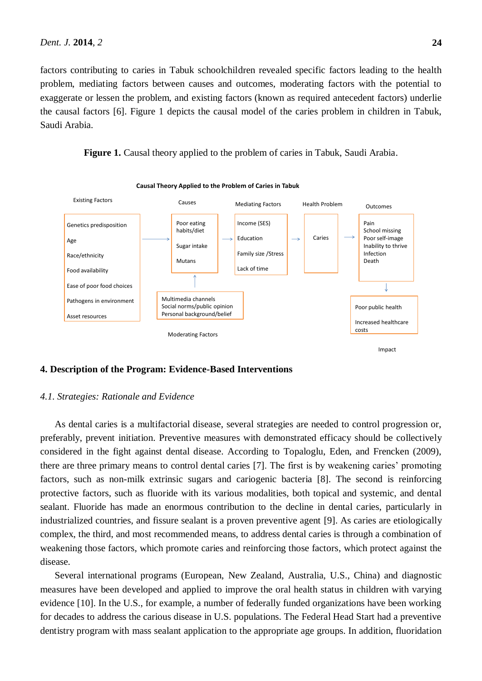factors contributing to caries in Tabuk schoolchildren revealed specific factors leading to the health problem, mediating factors between causes and outcomes, moderating factors with the potential to exaggerate or lessen the problem, and existing factors (known as required antecedent factors) underlie the causal factors [6]. Figure 1 depicts the causal model of the caries problem in children in Tabuk, Saudi Arabia.

**Figure 1.** Causal theory applied to the problem of caries in Tabuk, Saudi Arabia.



## **4. Description of the Program: Evidence-Based Interventions**

#### *4.1. Strategies: Rationale and Evidence*

As dental caries is a multifactorial disease, several strategies are needed to control progression or, preferably, prevent initiation. Preventive measures with demonstrated efficacy should be collectively considered in the fight against dental disease. According to Topaloglu, Eden, and Frencken (2009), there are three primary means to control dental caries [7]. The first is by weakening caries' promoting factors, such as non-milk extrinsic sugars and cariogenic bacteria [8]. The second is reinforcing protective factors, such as fluoride with its various modalities, both topical and systemic, and dental sealant. Fluoride has made an enormous contribution to the decline in dental caries, particularly in industrialized countries, and fissure sealant is a proven preventive agent [9]. As caries are etiologically complex, the third, and most recommended means, to address dental caries is through a combination of weakening those factors, which promote caries and reinforcing those factors, which protect against the disease.

Several international programs (European, New Zealand, Australia, U.S., China) and diagnostic measures have been developed and applied to improve the oral health status in children with varying evidence [10]. In the U.S., for example, a number of federally funded organizations have been working for decades to address the carious disease in U.S. populations. The Federal Head Start had a preventive dentistry program with mass sealant application to the appropriate age groups. In addition, fluoridation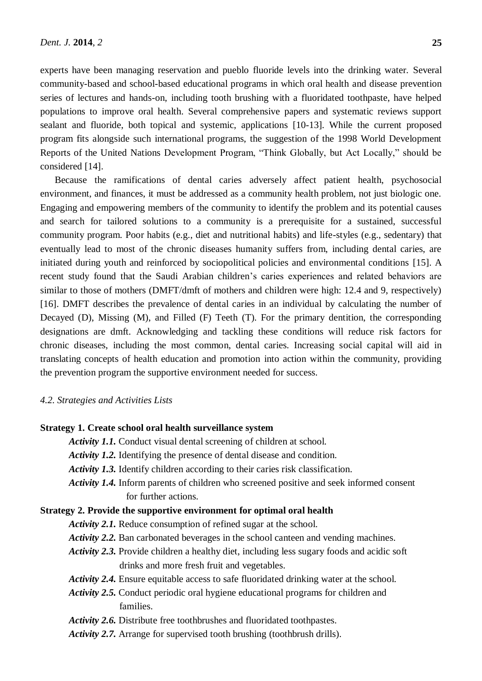experts have been managing reservation and pueblo fluoride levels into the drinking water. Several community-based and school-based educational programs in which oral health and disease prevention series of lectures and hands-on, including tooth brushing with a fluoridated toothpaste, have helped populations to improve oral health. Several comprehensive papers and systematic reviews support sealant and fluoride, both topical and systemic, applications [10-13]. While the current proposed program fits alongside such international programs, the suggestion of the 1998 World Development Reports of the United Nations Development Program, "Think Globally, but Act Locally," should be considered [14].

Because the ramifications of dental caries adversely affect patient health, psychosocial environment, and finances, it must be addressed as a community health problem, not just biologic one. Engaging and empowering members of the community to identify the problem and its potential causes and search for tailored solutions to a community is a prerequisite for a sustained, successful community program. Poor habits (e.g., diet and nutritional habits) and life-styles (e.g., sedentary) that eventually lead to most of the chronic diseases humanity suffers from, including dental caries, are initiated during youth and reinforced by sociopolitical policies and environmental conditions [15]. A recent study found that the Saudi Arabian children's caries experiences and related behaviors are similar to those of mothers (DMFT/dmft of mothers and children were high: 12.4 and 9, respectively) [16]. DMFT describes the prevalence of dental caries in an individual by calculating the number of Decayed (D), Missing (M), and Filled (F) Teeth (T). For the primary dentition, the corresponding designations are dmft. Acknowledging and tackling these conditions will reduce risk factors for chronic diseases, including the most common, dental caries. Increasing social capital will aid in translating concepts of health education and promotion into action within the community, providing the prevention program the supportive environment needed for success.

#### *4.2. Strategies and Activities Lists*

#### **Strategy 1. Create school oral health surveillance system**

- *Activity 1.1.* Conduct visual dental screening of children at school.
- *Activity 1.2.* Identifying the presence of dental disease and condition.
- *Activity 1.3.* Identify children according to their caries risk classification.
- *Activity 1.4.* Inform parents of children who screened positive and seek informed consent for further actions.

# **Strategy 2. Provide the supportive environment for optimal oral health**

- *Activity 2.1.* Reduce consumption of refined sugar at the school.
- *Activity 2.2.* Ban carbonated beverages in the school canteen and vending machines.
- *Activity 2.3.* Provide children a healthy diet, including less sugary foods and acidic soft drinks and more fresh fruit and vegetables.
- *Activity 2.4.* Ensure equitable access to safe fluoridated drinking water at the school.
- *Activity 2.5.* Conduct periodic oral hygiene educational programs for children and families.
- *Activity 2.6.* Distribute free toothbrushes and fluoridated toothpastes.
- *Activity 2.7.* Arrange for supervised tooth brushing (toothbrush drills).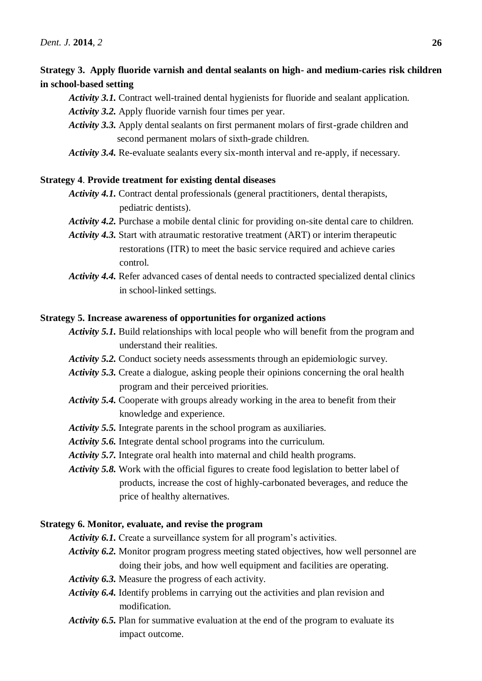# **Strategy 3. Apply fluoride varnish and dental sealants on high- and medium-caries risk children in school-based setting**

*Activity 3.1.* Contract well-trained dental hygienists for fluoride and sealant application.

*Activity 3.2.* Apply fluoride varnish four times per year.

*Activity 3.3.* Apply dental sealants on first permanent molars of first-grade children and second permanent molars of sixth-grade children.

*Activity 3.4.* Re-evaluate sealants every six-month interval and re-apply, if necessary.

## **Strategy 4**. **Provide treatment for existing dental diseases**

- *Activity 4.1.* Contract dental professionals (general practitioners, dental therapists, pediatric dentists).
- *Activity 4.2.* Purchase a mobile dental clinic for providing on-site dental care to children.
- *Activity 4.3.* Start with atraumatic restorative treatment (ART) or interim therapeutic restorations (ITR) to meet the basic service required and achieve caries control.
- *Activity 4.4.* Refer advanced cases of dental needs to contracted specialized dental clinics in school-linked settings.

#### **Strategy 5. Increase awareness of opportunities for organized actions**

- *Activity 5.1.* Build relationships with local people who will benefit from the program and understand their realities.
- *Activity 5.2.* Conduct society needs assessments through an epidemiologic survey.
- *Activity 5.3.* Create a dialogue, asking people their opinions concerning the oral health program and their perceived priorities.
- *Activity 5.4.* Cooperate with groups already working in the area to benefit from their knowledge and experience.
- *Activity 5.5.* Integrate parents in the school program as auxiliaries.
- *Activity 5.6.* Integrate dental school programs into the curriculum.
- *Activity 5.7.* Integrate oral health into maternal and child health programs.
- *Activity 5.8.* Work with the official figures to create food legislation to better label of products, increase the cost of highly-carbonated beverages, and reduce the price of healthy alternatives.

# **Strategy 6. Monitor, evaluate, and revise the program**

*Activity 6.1.* Create a surveillance system for all program's activities.

- *Activity 6.2.* Monitor program progress meeting stated objectives, how well personnel are doing their jobs, and how well equipment and facilities are operating.
- *Activity 6.3.* Measure the progress of each activity.
- *Activity 6.4.* Identify problems in carrying out the activities and plan revision and modification.
- *Activity 6.5.* Plan for summative evaluation at the end of the program to evaluate its impact outcome.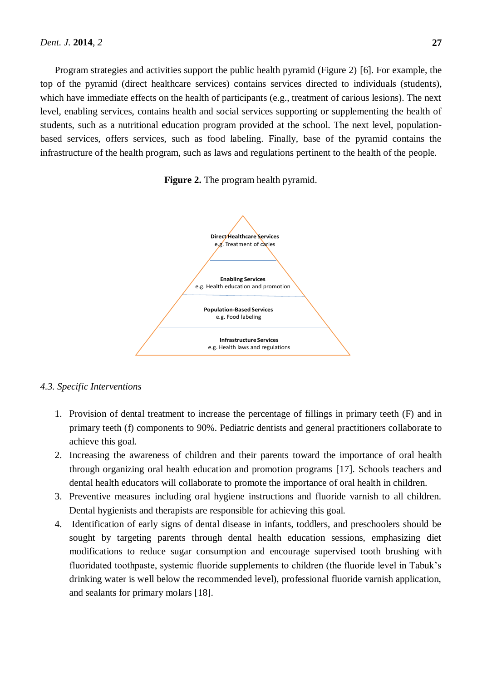Program strategies and activities support the public health pyramid (Figure 2) [6]. For example, the top of the pyramid (direct healthcare services) contains services directed to individuals (students), which have immediate effects on the health of participants (e.g., treatment of carious lesions). The next level, enabling services, contains health and social services supporting or supplementing the health of students, such as a nutritional education program provided at the school. The next level, populationbased services, offers services, such as food labeling. Finally, base of the pyramid contains the infrastructure of the health program, such as laws and regulations pertinent to the health of the people.

**Figure 2.** The program health pyramid.



#### *4.3. Specific Interventions*

- 1. Provision of dental treatment to increase the percentage of fillings in primary teeth (F) and in primary teeth (f) components to 90%. Pediatric dentists and general practitioners collaborate to achieve this goal.
- 2. Increasing the awareness of children and their parents toward the importance of oral health through organizing oral health education and promotion programs [17]. Schools teachers and dental health educators will collaborate to promote the importance of oral health in children.
- 3. Preventive measures including oral hygiene instructions and fluoride varnish to all children. Dental hygienists and therapists are responsible for achieving this goal.
- 4. Identification of early signs of dental disease in infants, toddlers, and preschoolers should be sought by targeting parents through dental health education sessions, emphasizing diet modifications to reduce sugar consumption and encourage supervised tooth brushing with fluoridated toothpaste, systemic fluoride supplements to children (the fluoride level in Tabuk's drinking water is well below the recommended level), professional fluoride varnish application, and sealants for primary molars [18].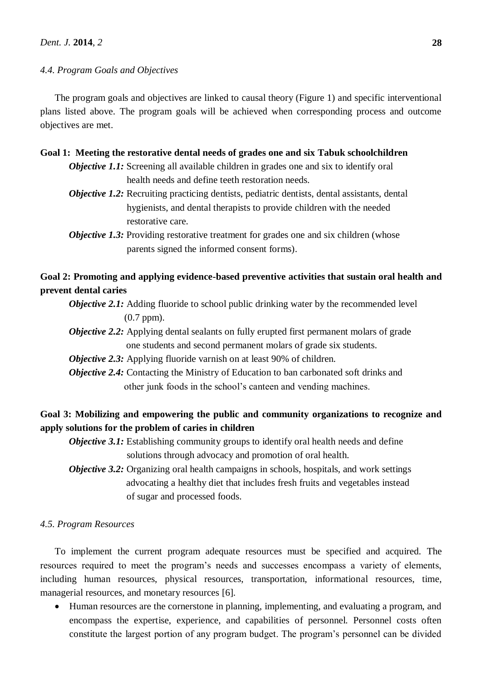## *4.4. Program Goals and Objectives*

The program goals and objectives are linked to causal theory (Figure 1) and specific interventional plans listed above. The program goals will be achieved when corresponding process and outcome objectives are met.

#### **Goal 1: Meeting the restorative dental needs of grades one and six Tabuk schoolchildren**

- *Objective 1.1:* Screening all available children in grades one and six to identify oral health needs and define teeth restoration needs.
- *Objective 1.2:* Recruiting practicing dentists, pediatric dentists, dental assistants, dental hygienists, and dental therapists to provide children with the needed restorative care.
- *Objective 1.3:* Providing restorative treatment for grades one and six children (whose parents signed the informed consent forms).

# **Goal 2: Promoting and applying evidence-based preventive activities that sustain oral health and prevent dental caries**

*Objective 2.1:* Adding fluoride to school public drinking water by the recommended level (0.7 ppm).

- *Objective 2.2:* Applying dental sealants on fully erupted first permanent molars of grade one students and second permanent molars of grade six students.
- *Objective 2.3:* Applying fluoride varnish on at least 90% of children.

*Objective 2.4:* Contacting the Ministry of Education to ban carbonated soft drinks and other junk foods in the school's canteen and vending machines.

# **Goal 3: Mobilizing and empowering the public and community organizations to recognize and apply solutions for the problem of caries in children**

*Objective 3.1:* Establishing community groups to identify oral health needs and define solutions through advocacy and promotion of oral health.

*Objective 3.2:* Organizing oral health campaigns in schools, hospitals, and work settings advocating a healthy diet that includes fresh fruits and vegetables instead of sugar and processed foods.

#### *4.5. Program Resources*

To implement the current program adequate resources must be specified and acquired. The resources required to meet the program's needs and successes encompass a variety of elements, including human resources, physical resources, transportation, informational resources, time, managerial resources, and monetary resources [6].

 Human resources are the cornerstone in planning, implementing, and evaluating a program, and encompass the expertise, experience, and capabilities of personnel. Personnel costs often constitute the largest portion of any program budget. The program's personnel can be divided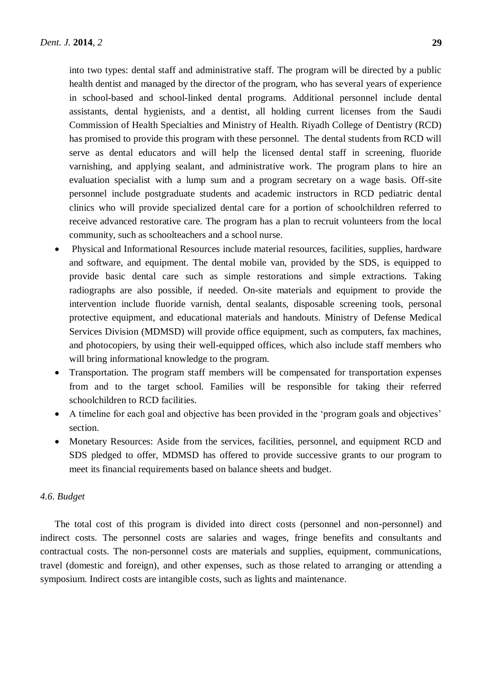into two types: dental staff and administrative staff. The program will be directed by a public health dentist and managed by the director of the program, who has several years of experience in school-based and school-linked dental programs. Additional personnel include dental assistants, dental hygienists, and a dentist, all holding current licenses from the Saudi Commission of Health Specialties and Ministry of Health. Riyadh College of Dentistry (RCD) has promised to provide this program with these personnel. The dental students from RCD will serve as dental educators and will help the licensed dental staff in screening, fluoride varnishing, and applying sealant, and administrative work. The program plans to hire an evaluation specialist with a lump sum and a program secretary on a wage basis. Off-site personnel include postgraduate students and academic instructors in RCD pediatric dental clinics who will provide specialized dental care for a portion of schoolchildren referred to receive advanced restorative care. The program has a plan to recruit volunteers from the local community, such as schoolteachers and a school nurse.

- Physical and Informational Resources include material resources, facilities, supplies, hardware and software, and equipment. The dental mobile van, provided by the SDS, is equipped to provide basic dental care such as simple restorations and simple extractions. Taking radiographs are also possible, if needed. On-site materials and equipment to provide the intervention include fluoride varnish, dental sealants, disposable screening tools, personal protective equipment, and educational materials and handouts. Ministry of Defense Medical Services Division (MDMSD) will provide office equipment, such as computers, fax machines, and photocopiers, by using their well-equipped offices, which also include staff members who will bring informational knowledge to the program.
- Transportation. The program staff members will be compensated for transportation expenses from and to the target school. Families will be responsible for taking their referred schoolchildren to RCD facilities.
- A timeline for each goal and objective has been provided in the 'program goals and objectives' section.
- Monetary Resources: Aside from the services, facilities, personnel, and equipment RCD and SDS pledged to offer, MDMSD has offered to provide successive grants to our program to meet its financial requirements based on balance sheets and budget.

#### *4.6. Budget*

The total cost of this program is divided into direct costs (personnel and non-personnel) and indirect costs. The personnel costs are salaries and wages, fringe benefits and consultants and contractual costs. The non-personnel costs are materials and supplies, equipment, communications, travel (domestic and foreign), and other expenses, such as those related to arranging or attending a symposium. Indirect costs are intangible costs, such as lights and maintenance.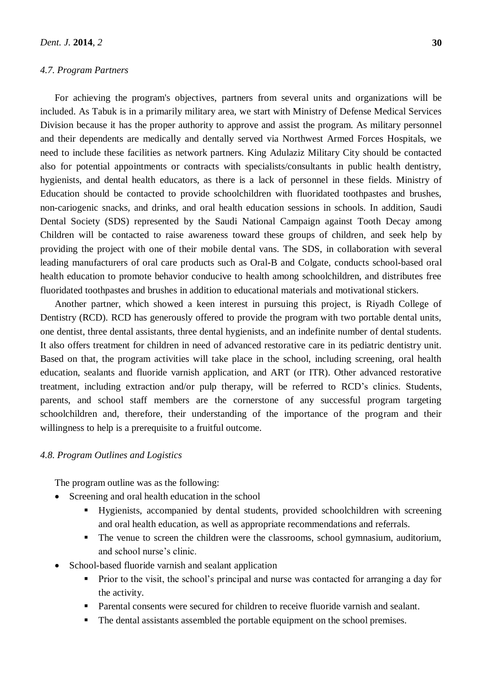#### *4.7. Program Partners*

For achieving the program's objectives, partners from several units and organizations will be included. As Tabuk is in a primarily military area, we start with Ministry of Defense Medical Services Division because it has the proper authority to approve and assist the program. As military personnel and their dependents are medically and dentally served via Northwest Armed Forces Hospitals, we need to include these facilities as network partners. King Adulaziz Military City should be contacted also for potential appointments or contracts with specialists/consultants in public health dentistry, hygienists, and dental health educators, as there is a lack of personnel in these fields. Ministry of Education should be contacted to provide schoolchildren with fluoridated toothpastes and brushes, non-cariogenic snacks, and drinks, and oral health education sessions in schools. In addition, Saudi Dental Society (SDS) represented by the Saudi National Campaign against Tooth Decay among Children will be contacted to raise awareness toward these groups of children, and seek help by providing the project with one of their mobile dental vans. The SDS, in collaboration with several leading manufacturers of oral care products such as Oral-B and Colgate, conducts school-based oral health education to promote behavior conducive to health among schoolchildren, and distributes free fluoridated toothpastes and brushes in addition to educational materials and motivational stickers.

Another partner, which showed a keen interest in pursuing this project, is Riyadh College of Dentistry (RCD). RCD has generously offered to provide the program with two portable dental units, one dentist, three dental assistants, three dental hygienists, and an indefinite number of dental students. It also offers treatment for children in need of advanced restorative care in its pediatric dentistry unit. Based on that, the program activities will take place in the school, including screening, oral health education, sealants and fluoride varnish application, and ART (or ITR). Other advanced restorative treatment, including extraction and/or pulp therapy, will be referred to RCD's clinics. Students, parents, and school staff members are the cornerstone of any successful program targeting schoolchildren and, therefore, their understanding of the importance of the program and their willingness to help is a prerequisite to a fruitful outcome.

#### *4.8. Program Outlines and Logistics*

The program outline was as the following:

- Screening and oral health education in the school
	- Hygienists, accompanied by dental students, provided schoolchildren with screening and oral health education, as well as appropriate recommendations and referrals.
	- The venue to screen the children were the classrooms, school gymnasium, auditorium, and school nurse's clinic.
- School-based fluoride varnish and sealant application
	- **Prior to the visit, the school's principal and nurse was contacted for arranging a day for** the activity.
	- Parental consents were secured for children to receive fluoride varnish and sealant.
	- The dental assistants assembled the portable equipment on the school premises.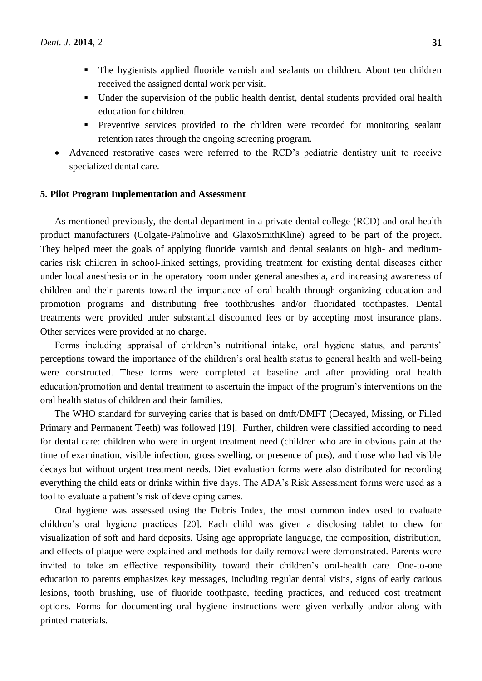- The hygienists applied fluoride varnish and sealants on children. About ten children received the assigned dental work per visit.
- Under the supervision of the public health dentist, dental students provided oral health education for children.
- **Preventive services provided to the children were recorded for monitoring sealant** retention rates through the ongoing screening program.
- Advanced restorative cases were referred to the RCD's pediatric dentistry unit to receive specialized dental care.

#### **5. Pilot Program Implementation and Assessment**

As mentioned previously, the dental department in a private dental college (RCD) and oral health product manufacturers (Colgate-Palmolive and GlaxoSmithKline) agreed to be part of the project. They helped meet the goals of applying fluoride varnish and dental sealants on high- and mediumcaries risk children in school-linked settings, providing treatment for existing dental diseases either under local anesthesia or in the operatory room under general anesthesia, and increasing awareness of children and their parents toward the importance of oral health through organizing education and promotion programs and distributing free toothbrushes and/or fluoridated toothpastes. Dental treatments were provided under substantial discounted fees or by accepting most insurance plans. Other services were provided at no charge.

Forms including appraisal of children's nutritional intake, oral hygiene status, and parents' perceptions toward the importance of the children's oral health status to general health and well-being were constructed. These forms were completed at baseline and after providing oral health education/promotion and dental treatment to ascertain the impact of the program's interventions on the oral health status of children and their families.

The WHO standard for surveying caries that is based on dmft/DMFT (Decayed, Missing, or Filled Primary and Permanent Teeth) was followed [19]. Further, children were classified according to need for dental care: children who were in urgent treatment need (children who are in obvious pain at the time of examination, visible infection, gross swelling, or presence of pus), and those who had visible decays but without urgent treatment needs. Diet evaluation forms were also distributed for recording everything the child eats or drinks within five days. The ADA's Risk Assessment forms were used as a tool to evaluate a patient's risk of developing caries.

Oral hygiene was assessed using the Debris Index, the most common index used to evaluate children's oral hygiene practices [20]. Each child was given a disclosing tablet to chew for visualization of soft and hard deposits. Using age appropriate language, the composition, distribution, and effects of plaque were explained and methods for daily removal were demonstrated. Parents were invited to take an effective responsibility toward their children's oral-health care. One-to-one education to parents emphasizes key messages, including regular dental visits, signs of early carious lesions, tooth brushing, use of fluoride toothpaste, feeding practices, and reduced cost treatment options. Forms for documenting oral hygiene instructions were given verbally and/or along with printed materials.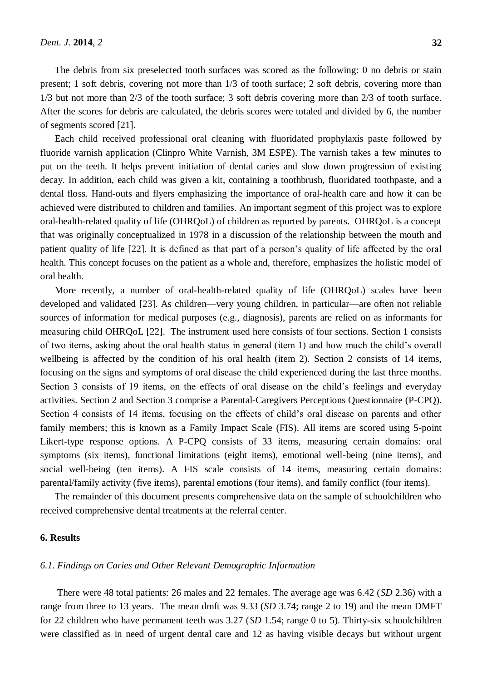The debris from six preselected tooth surfaces was scored as the following: 0 no debris or stain present; 1 soft debris, covering not more than 1/3 of tooth surface; 2 soft debris, covering more than 1/3 but not more than 2/3 of the tooth surface; 3 soft debris covering more than 2/3 of tooth surface. After the scores for debris are calculated, the debris scores were totaled and divided by 6, the number of segments scored [21].

Each child received professional oral cleaning with fluoridated prophylaxis paste followed by fluoride varnish application (Clinpro White Varnish, 3M ESPE). The varnish takes a few minutes to put on the teeth. It helps prevent initiation of dental caries and slow down progression of existing decay. In addition, each child was given a kit, containing a toothbrush, fluoridated toothpaste, and a dental floss. Hand-outs and flyers emphasizing the importance of oral-health care and how it can be achieved were distributed to children and families. An important segment of this project was to explore oral-health-related quality of life (OHRQoL) of children as reported by parents. OHRQoL is a concept that was originally conceptualized in 1978 in a discussion of the relationship between the mouth and patient quality of life [22]. It is defined as that part of a person's quality of life affected by the oral health. This concept focuses on the patient as a whole and, therefore, emphasizes the holistic model of oral health.

More recently, a number of oral-health-related quality of life (OHRQoL) scales have been developed and validated [23]. As children—very young children, in particular—are often not reliable sources of information for medical purposes (e.g., diagnosis), parents are relied on as informants for measuring child OHRQoL [22]. The instrument used here consists of four sections. Section 1 consists of two items, asking about the oral health status in general (item 1) and how much the child's overall wellbeing is affected by the condition of his oral health (item 2). Section 2 consists of 14 items, focusing on the signs and symptoms of oral disease the child experienced during the last three months. Section 3 consists of 19 items, on the effects of oral disease on the child's feelings and everyday activities. Section 2 and Section 3 comprise a Parental-Caregivers Perceptions Questionnaire (P-CPQ). Section 4 consists of 14 items, focusing on the effects of child's oral disease on parents and other family members; this is known as a Family Impact Scale (FIS). All items are scored using 5-point Likert-type response options. A P-CPQ consists of 33 items, measuring certain domains: oral symptoms (six items), functional limitations (eight items), emotional well-being (nine items), and social well-being (ten items). A FIS scale consists of 14 items, measuring certain domains: parental/family activity (five items), parental emotions (four items), and family conflict (four items).

The remainder of this document presents comprehensive data on the sample of schoolchildren who received comprehensive dental treatments at the referral center.

#### **6. Results**

#### *6.1. Findings on Caries and Other Relevant Demographic Information*

There were 48 total patients: 26 males and 22 females. The average age was 6.42 (*SD* 2.36) with a range from three to 13 years. The mean dmft was 9.33 (*SD* 3.74; range 2 to 19) and the mean DMFT for 22 children who have permanent teeth was 3.27 (*SD* 1.54; range 0 to 5). Thirty-six schoolchildren were classified as in need of urgent dental care and 12 as having visible decays but without urgent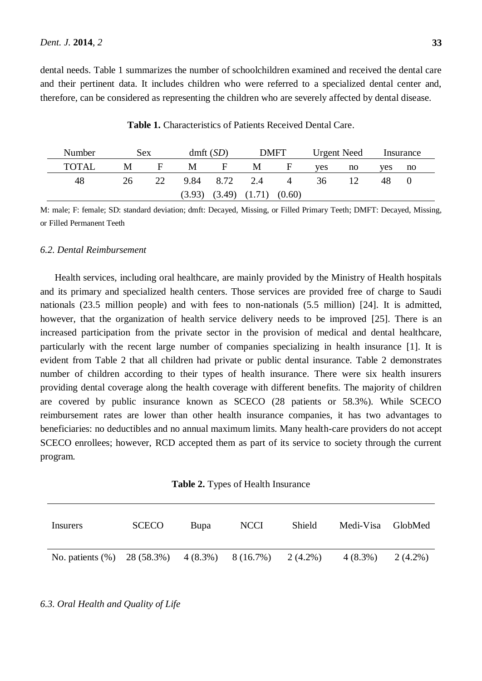dental needs. Table 1 summarizes the number of schoolchildren examined and received the dental care and their pertinent data. It includes children who were referred to a specialized dental center and, therefore, can be considered as representing the children who are severely affected by dental disease.

| Number       | Sex |    |        | dmft(SD) | <b>DMFT</b> |        |            | <b>Urgent Need</b> |     | Insurance |
|--------------|-----|----|--------|----------|-------------|--------|------------|--------------------|-----|-----------|
| <b>TOTAL</b> | М   | н  | M      |          | M           | н      | <b>ves</b> | no                 | ves | no        |
| 48           | 26  | 22 | 9.84   | 8.72     | 2.4         |        | 36         |                    | 48  | $\theta$  |
|              |     |    | (3.93) | (3.49)   |             | (0.60) |            |                    |     |           |

#### **Table 1.** Characteristics of Patients Received Dental Care.

M: male; F: female; SD: standard deviation; dmft: Decayed, Missing, or Filled Primary Teeth; DMFT: Decayed, Missing, or Filled Permanent Teeth

#### *6.2. Dental Reimbursement*

Health services, including oral healthcare, are mainly provided by the Ministry of Health hospitals and its primary and specialized health centers. Those services are provided free of charge to Saudi nationals (23.5 million people) and with fees to non-nationals (5.5 million) [24]. It is admitted, however, that the organization of health service delivery needs to be improved [25]. There is an increased participation from the private sector in the provision of medical and dental healthcare, particularly with the recent large number of companies specializing in health insurance [1]. It is evident from Table 2 that all children had private or public dental insurance. Table 2 demonstrates number of children according to their types of health insurance. There were six health insurers providing dental coverage along the health coverage with different benefits. The majority of children are covered by public insurance known as SCECO (28 patients or 58.3%). While SCECO reimbursement rates are lower than other health insurance companies, it has two advantages to beneficiaries: no deductibles and no annual maximum limits. Many health-care providers do not accept SCECO enrollees; however, RCD accepted them as part of its service to society through the current program.

**Table 2.** Types of Health Insurance

| Insurers                                                   | <b>SCECO</b> | <b>Bupa</b> | <b>NCCI</b> | Shield | Medi-Visa GlobMed |            |
|------------------------------------------------------------|--------------|-------------|-------------|--------|-------------------|------------|
| No. patients $(\%)$ 28 (58.3%) 4 (8.3%) 8 (16.7%) 2 (4.2%) |              |             |             |        | 4 (8.3%)          | $2(4.2\%)$ |

#### *6.3. Oral Health and Quality of Life*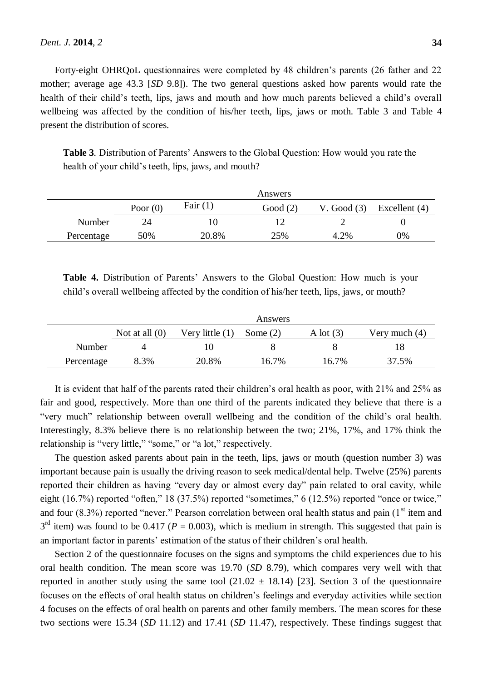Forty-eight OHRQoL questionnaires were completed by 48 children's parents (26 father and 22 mother; average age 43.3 [*SD* 9.8]). The two general questions asked how parents would rate the health of their child's teeth, lips, jaws and mouth and how much parents believed a child's overall wellbeing was affected by the condition of his/her teeth, lips, jaws or moth. Table 3 and Table 4 present the distribution of scores.

**Table 3***.* Distribution of Parents' Answers to the Global Question: How would you rate the health of your child's teeth, lips, jaws, and mouth?

|            | Answers    |            |            |            |               |  |
|------------|------------|------------|------------|------------|---------------|--|
|            | Poor $(0)$ | Fair $(1)$ | Good $(2)$ | V. Good(3) | Excellent (4) |  |
| Number     | 24         | 1O         |            |            |               |  |
| Percentage | 50%        | 20.8%      | 25%        | 4.2%       | 0%            |  |

**Table 4.** Distribution of Parents' Answers to the Global Question: How much is your child's overall wellbeing affected by the condition of his/her teeth, lips, jaws, or mouth?

|            |                  |                   | Answers    |             |                 |
|------------|------------------|-------------------|------------|-------------|-----------------|
|            | Not at all $(0)$ | Very little $(1)$ | Some $(2)$ | A lot $(3)$ | Very much $(4)$ |
| Number     |                  |                   |            |             | 18              |
| Percentage | 8.3%             | 20.8%             | 16.7%      | 16.7%       | 37.5%           |

It is evident that half of the parents rated their children's oral health as poor, with 21% and 25% as fair and good, respectively. More than one third of the parents indicated they believe that there is a "very much" relationship between overall wellbeing and the condition of the child's oral health. Interestingly, 8.3% believe there is no relationship between the two; 21%, 17%, and 17% think the relationship is "very little," "some," or "a lot," respectively.

The question asked parents about pain in the teeth, lips, jaws or mouth (question number 3) was important because pain is usually the driving reason to seek medical/dental help. Twelve (25%) parents reported their children as having "every day or almost every day" pain related to oral cavity, while eight (16.7%) reported "often," 18 (37.5%) reported "sometimes," 6 (12.5%) reported "once or twice," and four  $(8.3\%)$  reported "never." Pearson correlation between oral health status and pain  $(1<sup>st</sup>$  item and  $3<sup>rd</sup>$  item) was found to be 0.417 ( $P = 0.003$ ), which is medium in strength. This suggested that pain is an important factor in parents' estimation of the status of their children's oral health.

Section 2 of the questionnaire focuses on the signs and symptoms the child experiences due to his oral health condition. The mean score was 19.70 (*SD* 8.79), which compares very well with that reported in another study using the same tool  $(21.02 \pm 18.14)$  [23]. Section 3 of the questionnaire focuses on the effects of oral health status on children's feelings and everyday activities while section 4 focuses on the effects of oral health on parents and other family members. The mean scores for these two sections were 15.34 (*SD* 11.12) and 17.41 (*SD* 11.47), respectively. These findings suggest that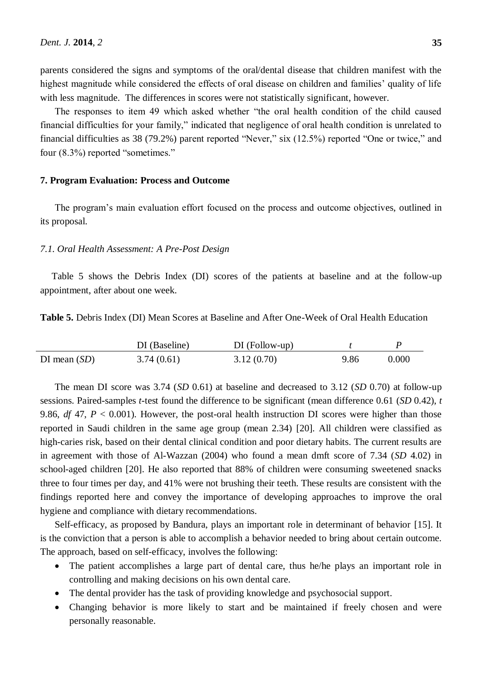parents considered the signs and symptoms of the oral/dental disease that children manifest with the highest magnitude while considered the effects of oral disease on children and families' quality of life with less magnitude. The differences in scores were not statistically significant, however.

The responses to item 49 which asked whether "the oral health condition of the child caused financial difficulties for your family," indicated that negligence of oral health condition is unrelated to financial difficulties as 38 (79.2%) parent reported "Never," six (12.5%) reported "One or twice," and four (8.3%) reported "sometimes."

#### **7. Program Evaluation: Process and Outcome**

The program's main evaluation effort focused on the process and outcome objectives, outlined in its proposal.

#### *7.1. Oral Health Assessment: A Pre-Post Design*

Table 5 shows the Debris Index (DI) scores of the patients at baseline and at the follow-up appointment, after about one week.

**Table 5.** Debris Index (DI) Mean Scores at Baseline and After One-Week of Oral Health Education

|                | DI (Baseline) | $DI$ (Follow-up) |      |       |
|----------------|---------------|------------------|------|-------|
| DI mean $(SD)$ | 3.74(0.61)    | 3.12(0.70)       | 9.86 | 0.000 |

The mean DI score was 3.74 (*SD* 0.61) at baseline and decreased to 3.12 (*SD* 0.70) at follow-up sessions. Paired-samples *t*-test found the difference to be significant (mean difference 0.61 (*SD* 0.42), *t* 9.86, *df* 47, *P* < 0.001). However, the post-oral health instruction DI scores were higher than those reported in Saudi children in the same age group (mean 2.34) [20]. All children were classified as high-caries risk, based on their dental clinical condition and poor dietary habits. The current results are in agreement with those of Al-Wazzan (2004) who found a mean dmft score of 7.34 (*SD* 4.02) in school-aged children [20]. He also reported that 88% of children were consuming sweetened snacks three to four times per day, and 41% were not brushing their teeth. These results are consistent with the findings reported here and convey the importance of developing approaches to improve the oral hygiene and compliance with dietary recommendations.

Self-efficacy, as proposed by Bandura, plays an important role in determinant of behavior [15]. It is the conviction that a person is able to accomplish a behavior needed to bring about certain outcome. The approach, based on self-efficacy, involves the following:

- The patient accomplishes a large part of dental care, thus he/he plays an important role in controlling and making decisions on his own dental care.
- The dental provider has the task of providing knowledge and psychosocial support.
- Changing behavior is more likely to start and be maintained if freely chosen and were personally reasonable.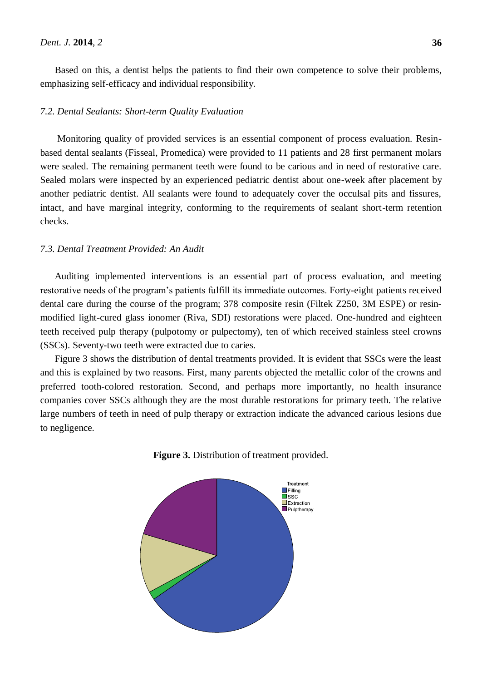Based on this, a dentist helps the patients to find their own competence to solve their problems, emphasizing self-efficacy and individual responsibility.

#### *7.2. Dental Sealants: Short-term Quality Evaluation*

Monitoring quality of provided services is an essential component of process evaluation. Resinbased dental sealants (Fisseal, Promedica) were provided to 11 patients and 28 first permanent molars were sealed. The remaining permanent teeth were found to be carious and in need of restorative care. Sealed molars were inspected by an experienced pediatric dentist about one-week after placement by another pediatric dentist. All sealants were found to adequately cover the occulsal pits and fissures, intact, and have marginal integrity, conforming to the requirements of sealant short-term retention checks.

#### *7.3. Dental Treatment Provided: An Audit*

Auditing implemented interventions is an essential part of process evaluation, and meeting restorative needs of the program's patients fulfill its immediate outcomes. Forty-eight patients received dental care during the course of the program; 378 composite resin (Filtek Z250, 3M ESPE) or resinmodified light-cured glass ionomer (Riva, SDI) restorations were placed. One-hundred and eighteen teeth received pulp therapy (pulpotomy or pulpectomy), ten of which received stainless steel crowns (SSCs). Seventy-two teeth were extracted due to caries.

Figure 3 shows the distribution of dental treatments provided. It is evident that SSCs were the least and this is explained by two reasons. First, many parents objected the metallic color of the crowns and preferred tooth-colored restoration. Second, and perhaps more importantly, no health insurance companies cover SSCs although they are the most durable restorations for primary teeth. The relative large numbers of teeth in need of pulp therapy or extraction indicate the advanced carious lesions due to negligence.



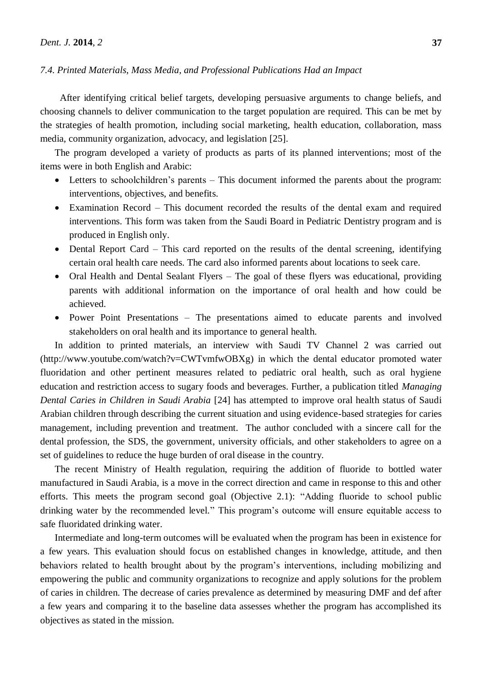#### *7.4. Printed Materials, Mass Media, and Professional Publications Had an Impact*

 After identifying critical belief targets, developing persuasive arguments to change beliefs, and choosing channels to deliver communication to the target population are required. This can be met by the strategies of health promotion, including social marketing, health education, collaboration, mass media, community organization, advocacy, and legislation [25].

The program developed a variety of products as parts of its planned interventions; most of the items were in both English and Arabic:

- Letters to schoolchildren's parents This document informed the parents about the program: interventions, objectives, and benefits.
- Examination Record This document recorded the results of the dental exam and required interventions. This form was taken from the Saudi Board in Pediatric Dentistry program and is produced in English only.
- Dental Report Card This card reported on the results of the dental screening, identifying certain oral health care needs. The card also informed parents about locations to seek care.
- Oral Health and Dental Sealant Flyers The goal of these flyers was educational, providing parents with additional information on the importance of oral health and how could be achieved.
- Power Point Presentations The presentations aimed to educate parents and involved stakeholders on oral health and its importance to general health.

In addition to printed materials, an interview with Saudi TV Channel 2 was carried out (http://www.youtube.com/watch?v=CWTvmfwOBXg) in which the dental educator promoted water fluoridation and other pertinent measures related to pediatric oral health, such as oral hygiene education and restriction access to sugary foods and beverages. Further, a publication titled *Managing Dental Caries in Children in Saudi Arabia* [24] has attempted to improve oral health status of Saudi Arabian children through describing the current situation and using evidence-based strategies for caries management, including prevention and treatment. The author concluded with a sincere call for the dental profession, the SDS, the government, university officials, and other stakeholders to agree on a set of guidelines to reduce the huge burden of oral disease in the country.

The recent Ministry of Health regulation, requiring the addition of fluoride to bottled water manufactured in Saudi Arabia, is a move in the correct direction and came in response to this and other efforts. This meets the program second goal (Objective 2.1): "Adding fluoride to school public drinking water by the recommended level." This program's outcome will ensure equitable access to safe fluoridated drinking water.

Intermediate and long-term outcomes will be evaluated when the program has been in existence for a few years. This evaluation should focus on established changes in knowledge, attitude, and then behaviors related to health brought about by the program's interventions, including mobilizing and empowering the public and community organizations to recognize and apply solutions for the problem of caries in children. The decrease of caries prevalence as determined by measuring DMF and def after a few years and comparing it to the baseline data assesses whether the program has accomplished its objectives as stated in the mission.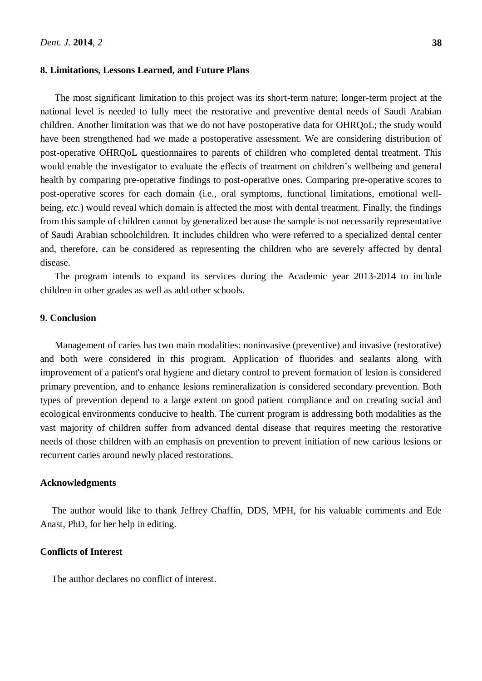#### **8. Limitations, Lessons Learned, and Future Plans**

The most significant limitation to this project was its short-term nature; longer-term project at the national level is needed to fully meet the restorative and preventive dental needs of Saudi Arabian children. Another limitation was that we do not have postoperative data for OHRQoL; the study would have been strengthened had we made a postoperative assessment. We are considering distribution of post-operative OHRQoL questionnaires to parents of children who completed dental treatment. This would enable the investigator to evaluate the effects of treatment on children's wellbeing and general health by comparing pre-operative findings to post-operative ones. Comparing pre-operative scores to post-operative scores for each domain (i.e., oral symptoms, functional limitations, emotional wellbeing, *etc.*) would reveal which domain is affected the most with dental treatment. Finally, the findings from this sample of children cannot by generalized because the sample is not necessarily representative of Saudi Arabian schoolchildren. It includes children who were referred to a specialized dental center and, therefore, can be considered as representing the children who are severely affected by dental disease.

The program intends to expand its services during the Academic year 2013-2014 to include children in other grades as well as add other schools.

## **9. Conclusion**

Management of caries has two main modalities: noninvasive (preventive) and invasive (restorative) and both were considered in this program. Application of fluorides and sealants along with improvement of a patient's oral hygiene and dietary control to prevent formation of lesion is considered primary prevention, and to enhance lesions remineralization is considered secondary prevention. Both types of prevention depend to a large extent on good patient compliance and on creating social and ecological environments conducive to health. The current program is addressing both modalities as the vast majority of children suffer from advanced dental disease that requires meeting the restorative needs of those children with an emphasis on prevention to prevent initiation of new carious lesions or recurrent caries around newly placed restorations.

#### **Acknowledgments**

The author would like to thank Jeffrey Chaffin, DDS, MPH, for his valuable comments and Ede Anast, PhD, for her help in editing.

#### **Conflicts of Interest**

The author declares no conflict of interest.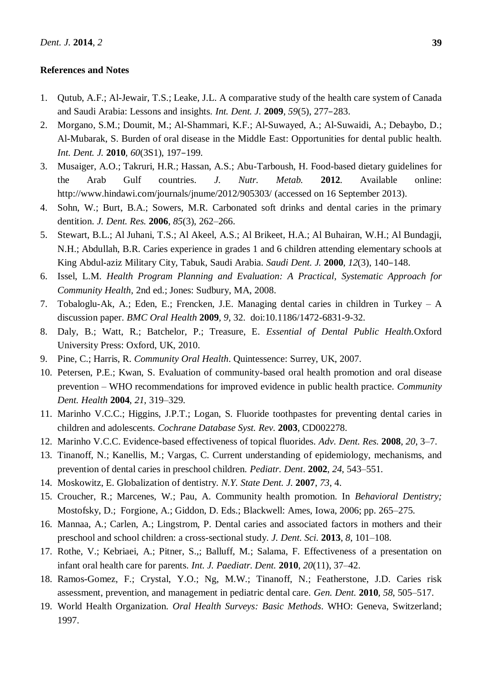#### **References and Notes**

- 1. Qutub, A.F.; Al-Jewair, T.S.; Leake, J.L. A comparative study of the health care system of Canada and Saudi Arabia: Lessons and insights. *Int. Dent. J.* **2009***, 59*(5), 277–283.
- 2. Morgano, S.M.; Doumit, M.; Al-Shammari, K.F.; Al-Suwayed, A.; Al-Suwaidi, A.; Debaybo, D.; Al-Mubarak, S. Burden of oral disease in the Middle East: Opportunities for dental public health. *Int. Dent. J.* **2010***, 60*(3S1), 197–199.
- 3. Musaiger, A.O.; Takruri, H.R.; Hassan, A.S.; Abu-Tarboush, H. Food-based dietary guidelines for the Arab Gulf countries. *J. Nutr. Metab.* **2012**. Available online: <http://www.hindawi.com/journals/jnume/2012/905303/> (accessed on 16 September 2013).
- 4. Sohn, W.; Burt, B.A.; Sowers, M.R. Carbonated soft drinks and dental caries in the primary dentition. *J. Dent. Res.* **2006***, 85*(3), 262–266.
- 5. Stewart, B.L.; Al Juhani, T.S.; Al Akeel, A.S.; Al Brikeet, H.A.; Al Buhairan, W.H.; Al Bundagji, N.H.; Abdullah, B.R. Caries experience in grades 1 and 6 children attending elementary schools at King Abdul-aziz Military City, Tabuk, Saudi Arabia. *Saudi Dent. J.* **2000***, 12*(3), 140–148.
- 6. Issel, L.M. *Health Program Planning and Evaluation: A Practical, Systematic Approach for Community Health,* 2nd ed.; Jones: Sudbury, MA, 2008.
- 7. Tobaloglu-Ak, A.; Eden, E.; Frencken, J.E. Managing dental caries in children in Turkey A discussion paper. *BMC Oral Health* **2009***, 9*, 32. doi:10.1186/1472-6831-9-32.
- 8. Daly, B.; Watt, R.; Batchelor, P.; Treasure, E. *Essential of Dental Public Health.*Oxford University Press: Oxford, UK, 2010.
- 9. Pine, C.; Harris, R. *Community Oral Health*. Quintessence: Surrey, UK, 2007.
- 10. Petersen, P.E.; Kwan, S. Evaluation of community-based oral health promotion and oral disease prevention – WHO recommendations for improved evidence in public health practice. *Community Dent. Health* **2004**, *21*, 319–329.
- 11. Marinho V.C.C.; Higgins, J.P.T.; Logan, S. Fluoride toothpastes for preventing dental caries in children and adolescents. *Cochrane Database Syst. Rev.* **2003**, CD002278.
- 12. Marinho V.C.C. Evidence-based effectiveness of topical fluorides. *Adv. Dent. Res.* **2008**, *20*, 3–7.
- 13. Tinanoff, N.; Kanellis, M.; Vargas, C. Current understanding of epidemiology, mechanisms, and prevention of dental caries in preschool children. *Pediatr. Dent*. **2002**, *24*, 543–551.
- 14. Moskowitz, E. Globalization of dentistry. *N.Y. State Dent. J.* **2007**, *73*, 4.
- 15. Croucher, R.; Marcenes, W.; Pau, A. Community health promotion. In *Behavioral Dentistry;* Mostofsky, D.; Forgione, A.; Giddon, D. Eds.; Blackwell: Ames, Iowa, 2006; pp. 265–275.
- 16. Mannaa, A.; Carlen, A.; Lingstrom, P. Dental caries and associated factors in mothers and their preschool and school children: a cross-sectional study. *J. Dent. Sci.* **2013**, *8*, 101–108.
- 17. Rothe, V.; Kebriaei, A.; Pitner, S.,; Balluff, M.; Salama, F. Effectiveness of a presentation on infant oral health care for parents. *Int. J. Paediatr. Dent.* **2010**, *20*(11), 37–42.
- 18. [Ramos-Gomez, F.](http://www.ncbi.nlm.nih.gov/pubmed?term=%22Ramos-Gomez%20F%22%5BAuthor%5D); [Crystal, Y.O.](http://www.ncbi.nlm.nih.gov/pubmed?term=%22Crystal%20YO%22%5BAuthor%5D); [Ng, M.W.](http://www.ncbi.nlm.nih.gov/pubmed?term=%22Ng%20MW%22%5BAuthor%5D); [Tinanoff, N.](http://www.ncbi.nlm.nih.gov/pubmed?term=%22Tinanoff%20N%22%5BAuthor%5D); [Featherstone, J.D.](http://www.ncbi.nlm.nih.gov/pubmed?term=%22Featherstone%20JD%22%5BAuthor%5D) Caries risk assessment, prevention, and management in pediatric dental care. *[Gen. Dent.](http://www.ncbi.nlm.nih.gov/pubmed/21062720)* **2010***, 58*, 505–517.
- 19. World Health Organization. *Oral Health Surveys: Basic Methods*. WHO: Geneva, Switzerland; 1997.